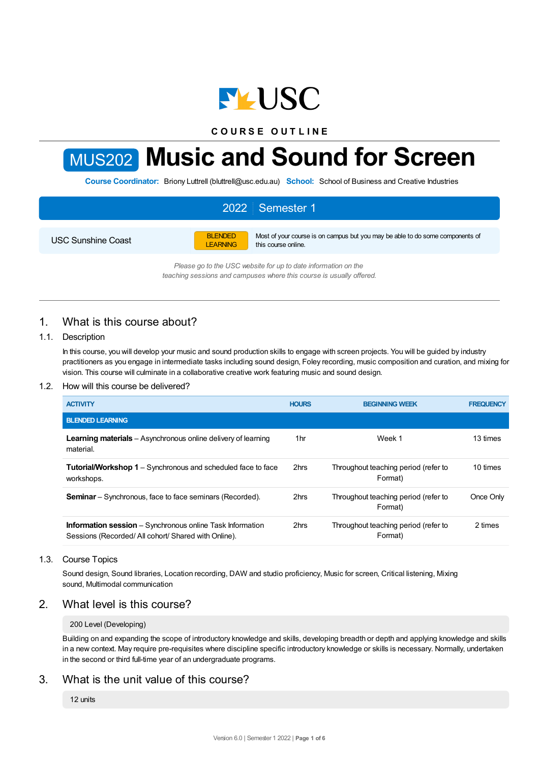

**C O U R S E O U T L I N E**

# MUS202 **Music and Sound for Screen**

**Course Coordinator:** Briony Luttrell (bluttrell@usc.edu.au) **School:** School of Business and Creative Industries

# 2022 Semester 1

USC Sunshine Coast

BLENDED LEARNING Most of your course is on campus but you may be able to do some components of this course online.

*Please go to the USC website for up to date information on the teaching sessions and campuses where this course is usually offered.*

# 1. What is this course about?

## 1.1. Description

In this course, you will develop your music and sound production skills to engage with screen projects. You will be guided by industry practitioners as you engage in intermediate tasks including sound design, Foley recording, music composition and curation, and mixing for vision. This course will culminate in a collaborative creative work featuring music and sound design.

## 1.2. How will this course be delivered?

| <b>ACTIVITY</b>                                                                                                        | <b>HOURS</b> | <b>BEGINNING WEEK</b>                           | <b>FREQUENCY</b> |
|------------------------------------------------------------------------------------------------------------------------|--------------|-------------------------------------------------|------------------|
| <b>BLENDED LEARNING</b>                                                                                                |              |                                                 |                  |
| <b>Learning materials</b> – Asynchronous online delivery of learning<br>material.                                      | 1hr          | Week 1                                          | 13 times         |
| <b>Tutorial/Workshop 1</b> – Synchronous and scheduled face to face<br>workshops.                                      | 2hrs         | Throughout teaching period (refer to<br>Format) | 10 times         |
| <b>Seminar</b> – Synchronous, face to face seminars (Recorded).                                                        | 2hrs         | Throughout teaching period (refer to<br>Format) | Once Only        |
| <b>Information session</b> – Synchronous online Task Information<br>Sessions (Recorded/All cohort/Shared with Online). | 2hrs         | Throughout teaching period (refer to<br>Format) | 2 times          |

## 1.3. Course Topics

Sound design, Sound libraries, Location recording, DAW and studio proficiency, Music for screen, Critical listening, Mixing sound, Multimodal communication

## 2. What level is this course?

#### 200 Level (Developing)

Building on and expanding the scope of introductory knowledge and skills, developing breadth or depth and applying knowledge and skills in a new context. May require pre-requisites where discipline specific introductory knowledge or skills is necessary. Normally, undertaken in the second or third full-time year of an undergraduate programs.

## 3. What is the unit value of this course?

12 units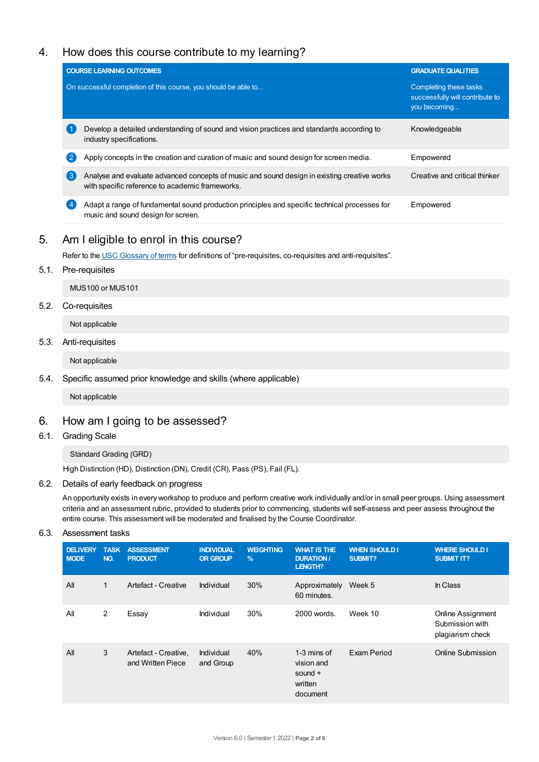# 4. How does this course contribute to my learning?

| <b>GRADUATE QUALITIES</b>                                                                                                    |
|------------------------------------------------------------------------------------------------------------------------------|
| Completing these tasks<br>successfully will contribute to<br>you becoming                                                    |
| Develop a detailed understanding of sound and vision practices and standards according to<br>Knowledgeable                   |
| Apply concepts in the creation and curation of music and sound design for screen media.<br>Empowered                         |
| Analyse and evaluate advanced concepts of music and sound design in existing creative works<br>Creative and critical thinker |
| Adapt a range of fundamental sound production principles and specific technical processes for<br>Empowered                   |
|                                                                                                                              |

# 5. Am Ieligible to enrol in this course?

Refer to the USC [Glossary](https://www.usc.edu.au/about/policies-and-procedures/glossary-of-terms-for-policy-and-procedures) of terms for definitions of "pre-requisites, co-requisites and anti-requisites".

## 5.1. Pre-requisites

MUS100 or MUS101

## 5.2. Co-requisites

Not applicable

## 5.3. Anti-requisites

Not applicable

## 5.4. Specific assumed prior knowledge and skills (where applicable)

Not applicable

## 6. How am Igoing to be assessed?

6.1. Grading Scale

Standard Grading (GRD)

High Distinction (HD), Distinction (DN), Credit (CR), Pass (PS), Fail (FL).

## 6.2. Details of early feedback on progress

An opportunity exists in every workshop to produce and perform creative work individually and/or in small peer groups. Using assessment criteria and an assessment rubric, provided to students prior to commencing, students will self-assess and peer assess throughout the entire course. This assessment will be moderated and finalised by the Course Coordinator.

6.3. Assessment tasks

| <b>DELIVERY</b><br><b>MODE</b> | <b>TASK</b><br>NO. | <b>ASSESSMENT</b><br><b>PRODUCT</b>       | <b>INDIVIDUAL</b><br><b>OR GROUP</b> | <b>WEIGHTING</b><br>$\frac{9}{6}$ | <b>WHAT IS THE</b><br><b>DURATION /</b><br><b>LENGTH?</b>     | <b>WHEN SHOULD I</b><br>SUBMIT? | <b>WHERE SHOULD I</b><br><b>SUBMIT IT?</b>               |
|--------------------------------|--------------------|-------------------------------------------|--------------------------------------|-----------------------------------|---------------------------------------------------------------|---------------------------------|----------------------------------------------------------|
| All                            | $\mathbf{1}$       | Artefact - Creative                       | Individual                           | 30%                               | Approximately<br>60 minutes.                                  | Week 5                          | In Class                                                 |
| All                            | 2                  | Essay                                     | Individual                           | 30%                               | 2000 words.                                                   | Week 10                         | Online Assignment<br>Submission with<br>plagiarism check |
| All                            | 3                  | Artefact - Creative.<br>and Written Piece | Individual<br>and Group              | 40%                               | 1-3 mins of<br>vision and<br>sound $+$<br>written<br>document | Exam Period                     | Online Submission                                        |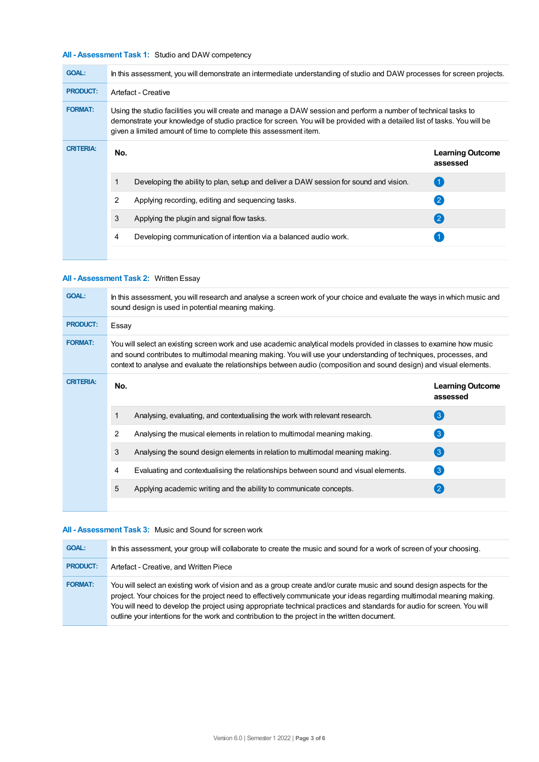## **All - Assessment Task 1:** Studio and DAW competency

| <b>GOAL:</b>     | In this assessment, you will demonstrate an intermediate understanding of studio and DAW processes for screen projects.                                                                                                                                                                                          |                                                                                       |                                     |  |  |
|------------------|------------------------------------------------------------------------------------------------------------------------------------------------------------------------------------------------------------------------------------------------------------------------------------------------------------------|---------------------------------------------------------------------------------------|-------------------------------------|--|--|
| <b>PRODUCT:</b>  | Artefact - Creative                                                                                                                                                                                                                                                                                              |                                                                                       |                                     |  |  |
| <b>FORMAT:</b>   | Using the studio facilities you will create and manage a DAW session and perform a number of technical tasks to<br>demonstrate your knowledge of studio practice for screen. You will be provided with a detailed list of tasks. You will be<br>given a limited amount of time to complete this assessment item. |                                                                                       |                                     |  |  |
| <b>CRITERIA:</b> | No.                                                                                                                                                                                                                                                                                                              |                                                                                       | <b>Learning Outcome</b><br>assessed |  |  |
|                  |                                                                                                                                                                                                                                                                                                                  | Developing the ability to plan, setup and deliver a DAW session for sound and vision. | $\overline{1}$                      |  |  |
|                  | 2                                                                                                                                                                                                                                                                                                                | Applying recording, editing and sequencing tasks.                                     | $\left( 2\right)$                   |  |  |
|                  | 3                                                                                                                                                                                                                                                                                                                | Applying the plugin and signal flow tasks.                                            | (2)                                 |  |  |
|                  | 4                                                                                                                                                                                                                                                                                                                | Developing communication of intention via a balanced audio work.                      |                                     |  |  |
|                  |                                                                                                                                                                                                                                                                                                                  |                                                                                       |                                     |  |  |

## **All - Assessment Task 2:** Written Essay

| <b>GOAL:</b>     | In this assessment, you will research and analyse a screen work of your choice and evaluate the ways in which music and<br>sound design is used in potential meaning making.                                                                                                                                                                                    |                                                                                     |                                     |  |  |
|------------------|-----------------------------------------------------------------------------------------------------------------------------------------------------------------------------------------------------------------------------------------------------------------------------------------------------------------------------------------------------------------|-------------------------------------------------------------------------------------|-------------------------------------|--|--|
| <b>PRODUCT:</b>  | Essay                                                                                                                                                                                                                                                                                                                                                           |                                                                                     |                                     |  |  |
| <b>FORMAT:</b>   | You will select an existing screen work and use academic analytical models provided in classes to examine how music<br>and sound contributes to multimodal meaning making. You will use your understanding of techniques, processes, and<br>context to analyse and evaluate the relationships between audio (composition and sound design) and visual elements. |                                                                                     |                                     |  |  |
| <b>CRITERIA:</b> | No.                                                                                                                                                                                                                                                                                                                                                             |                                                                                     | <b>Learning Outcome</b><br>assessed |  |  |
|                  |                                                                                                                                                                                                                                                                                                                                                                 | Analysing, evaluating, and contextualising the work with relevant research.         | $\left(3\right)$                    |  |  |
|                  | $\overline{2}$                                                                                                                                                                                                                                                                                                                                                  | Analysing the musical elements in relation to multimodal meaning making.            | $\mathbf{3}$                        |  |  |
|                  | 3                                                                                                                                                                                                                                                                                                                                                               | Analysing the sound design elements in relation to multimodal meaning making.       | $\left(3\right)$                    |  |  |
|                  | 4                                                                                                                                                                                                                                                                                                                                                               | Evaluating and contextualising the relationships between sound and visual elements. | $\left[3\right]$                    |  |  |
|                  | 5                                                                                                                                                                                                                                                                                                                                                               | Applying academic writing and the ability to communicate concepts.                  | $\mathbf{2}$                        |  |  |
|                  |                                                                                                                                                                                                                                                                                                                                                                 |                                                                                     |                                     |  |  |

## **All - Assessment Task 3:** Music and Sound for screen work

| <b>GOAL:</b>    | In this assessment, your group will collaborate to create the music and sound for a work of screen of your choosing.                                                                                                                                                                                                                                                                                                                                                       |
|-----------------|----------------------------------------------------------------------------------------------------------------------------------------------------------------------------------------------------------------------------------------------------------------------------------------------------------------------------------------------------------------------------------------------------------------------------------------------------------------------------|
| <b>PRODUCT:</b> | Artefact - Creative, and Written Piece                                                                                                                                                                                                                                                                                                                                                                                                                                     |
| <b>FORMAT:</b>  | You will select an existing work of vision and as a group create and/or curate music and sound design aspects for the<br>project. Your choices for the project need to effectively communicate your ideas regarding multimodal meaning making.<br>You will need to develop the project using appropriate technical practices and standards for audio for screen. You will<br>outline your intentions for the work and contribution to the project in the written document. |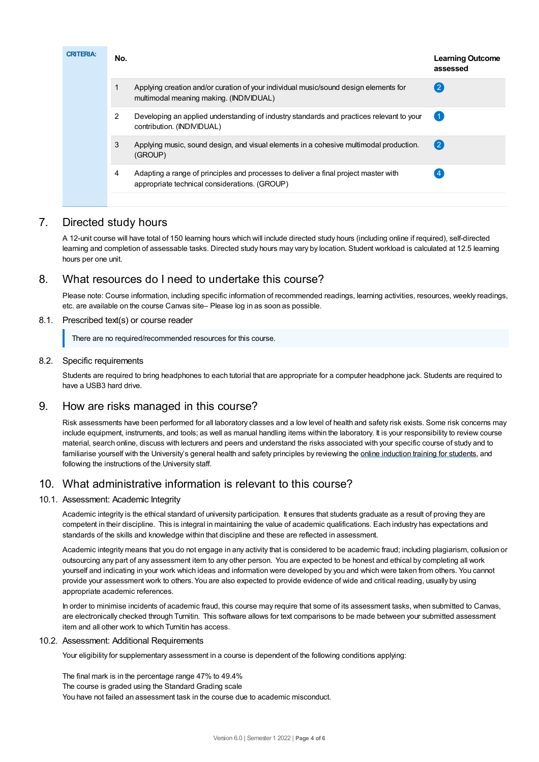| <b>CRITERIA:</b> | No.            |                                                                                                                                      | <b>Learning Outcome</b><br>assessed |
|------------------|----------------|--------------------------------------------------------------------------------------------------------------------------------------|-------------------------------------|
|                  | $\mathbf 1$    | Applying creation and/or curation of your individual music/sound design elements for<br>multimodal meaning making. (INDIVIDUAL)      | (2)                                 |
|                  | $\overline{2}$ | Developing an applied understanding of industry standards and practices relevant to your<br>contribution. (INDIVIDUAL)               | $\overline{1}$                      |
|                  | 3              | Applying music, sound design, and visual elements in a cohesive multimodal production.<br>(GROUP)                                    | $\left( 2\right)$                   |
|                  | 4              | Adapting a range of principles and processes to deliver a final project master with<br>appropriate technical considerations. (GROUP) |                                     |
|                  |                |                                                                                                                                      |                                     |

# 7. Directed study hours

A 12-unit course will have total of 150 learning hours which will include directed study hours (including online if required), self-directed learning and completion of assessable tasks. Directed study hours may vary by location. Student workload is calculated at 12.5 learning hours per one unit.

# 8. What resources do I need to undertake this course?

Please note: Course information, including specific information of recommended readings, learning activities, resources, weekly readings, etc. are available on the course Canvas site– Please log in as soon as possible.

## 8.1. Prescribed text(s) or course reader

There are no required/recommended resources for this course.

## 8.2. Specific requirements

Students are required to bring headphones to each tutorial that are appropriate for a computer headphone jack. Students are required to have a USB3 hard drive.

## 9. How are risks managed in this course?

Risk assessments have been performed for all laboratory classes and a low level of health and safety risk exists. Some risk concerns may include equipment, instruments, and tools; as well as manual handling items within the laboratory. It is your responsibility to review course material, search online, discuss with lecturers and peers and understand the risks associated with your specific course of study and to familiarise yourself with the University's general health and safety principles by reviewing the online [induction](https://online.usc.edu.au/webapps/blackboard/content/listContentEditable.jsp?content_id=_632657_1&course_id=_14432_1) training for students, and following the instructions of the University staff.

## 10. What administrative information is relevant to this course?

## 10.1. Assessment: Academic Integrity

Academic integrity is the ethical standard of university participation. It ensures that students graduate as a result of proving they are competent in their discipline. This is integral in maintaining the value of academic qualifications. Each industry has expectations and standards of the skills and knowledge within that discipline and these are reflected in assessment.

Academic integrity means that you do not engage in any activity that is considered to be academic fraud; including plagiarism, collusion or outsourcing any part of any assessment item to any other person. You are expected to be honest and ethical by completing all work yourself and indicating in your work which ideas and information were developed by you and which were taken from others. You cannot provide your assessment work to others.You are also expected to provide evidence of wide and critical reading, usually by using appropriate academic references.

In order to minimise incidents of academic fraud, this course may require that some of its assessment tasks, when submitted to Canvas, are electronically checked through Turnitin. This software allows for text comparisons to be made between your submitted assessment item and all other work to which Turnitin has access.

## 10.2. Assessment: Additional Requirements

Your eligibility for supplementary assessment in a course is dependent of the following conditions applying:

The final mark is in the percentage range 47% to 49.4% The course is graded using the Standard Grading scale You have not failed an assessment task in the course due to academic misconduct.